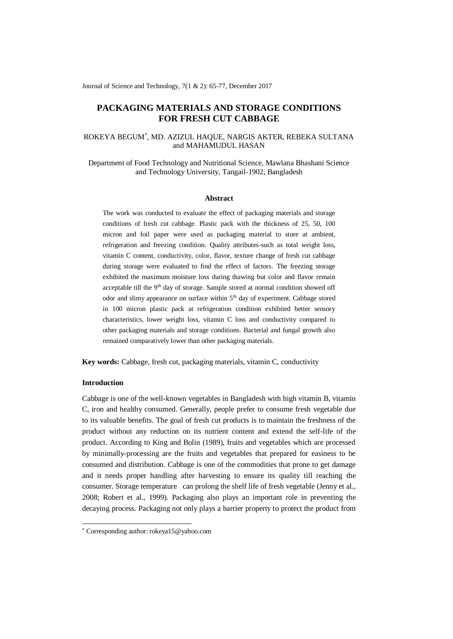Journal of Science and Technology, 7(1 & 2): 65-77, December 2017

# **PACKAGING MATERIALS AND STORAGE CONDITIONS FOR FRESH CUT CABBAGE**

## ROKEYA BEGUM\* , MD. AZIZUL HAQUE, NARGIS AKTER, REBEKA SULTANA and MAHAMUDUL HASAN

Department of Food Technology and Nutritional Science, Mawlana Bhashani Science and Technology University, Tangail-1902, Bangladesh

### **Abstract**

The work was conducted to evaluate the effect of packaging materials and storage conditions of fresh cut cabbage. Plastic pack with the thickness of 25, 50, 100 micron and foil paper were used as packaging material to store at ambient, refrigeration and freezing condition. Quality attributes-such as total weight loss, vitamin C content, conductivity, color, flavor, texture change of fresh cut cabbage during storage were evaluated to find the effect of factors. The freezing storage exhibited the maximum moisture loss during thawing but color and flavor remain acceptable till the 9<sup>th</sup> day of storage. Sample stored at normal condition showed off odor and slimy appearance on surface within  $5<sup>th</sup>$  day of experiment. Cabbage stored in 100 micron plastic pack at refrigeration condition exhibited better sensory characteristics, lower weight loss, vitamin C loss and conductivity compared to other packaging materials and storage conditions. Bacterial and fungal growth also remained comparatively lower than other packaging materials.

**Key words:** Cabbage, fresh cut, packaging materials, vitamin C, conductivity

## **Introduction**

-

Cabbage is one of the well-known vegetables in Bangladesh with high vitamin B, vitamin C, iron and healthy consumed. Generally, people prefer to consume fresh vegetable due to its valuable benefits. The goal of fresh cut products is to maintain the freshness of the product without any reduction on its nutrient content and extend the self-life of the product. According to King and Bolin (1989), fruits and vegetables which are processed by minimally-processing are the fruits and vegetables that prepared for easiness to be consumed and distribution. Cabbage is one of the commodities that prone to get damage and it needs proper handling after harvesting to ensure its quality till reaching the consumer. Storage temperature can prolong the shelf life of fresh vegetable (Jenny et al., 2008; Robert et al., 1999). Packaging also plays an important role in preventing the decaying process. Packaging not only plays a barrier property to protect the product from

<sup>\*</sup> Corresponding author: rokeya15@yahoo.com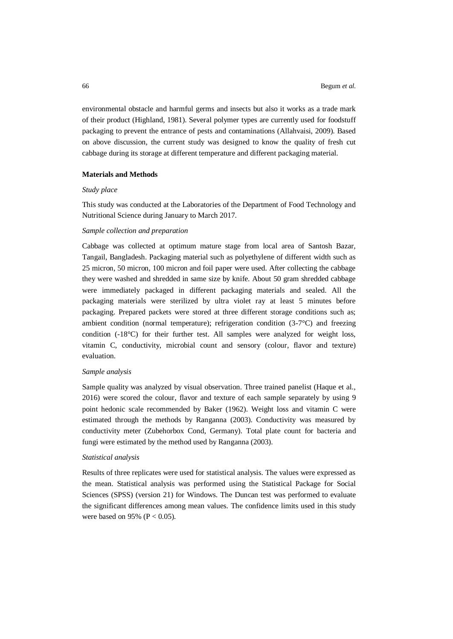environmental obstacle and harmful germs and insects but also it works as a trade mark of their product (Highland, 1981). Several polymer types are currently used for foodstuff packaging to prevent the entrance of pests and contaminations (Allahvaisi, 2009). Based on above discussion, the current study was designed to know the quality of fresh cut cabbage during its storage at different temperature and different packaging material.

#### **Materials and Methods**

#### *Study place*

This study was conducted at the Laboratories of the Department of Food Technology and Nutritional Science during January to March 2017.

### *Sample collection and preparation*

Cabbage was collected at optimum mature stage from local area of Santosh Bazar, Tangail, Bangladesh. Packaging material such as polyethylene of different width such as 25 micron, 50 micron, 100 micron and foil paper were used. After collecting the cabbage they were washed and shredded in same size by knife. About 50 gram shredded cabbage were immediately packaged in different packaging materials and sealed. All the packaging materials were sterilized by ultra violet ray at least 5 minutes before packaging. Prepared packets were stored at three different storage conditions such as; ambient condition (normal temperature); refrigeration condition (3-7°C) and freezing condition (-18°C) for their further test. All samples were analyzed for weight loss, vitamin C, conductivity, microbial count and sensory (colour, flavor and texture) evaluation.

#### *Sample analysis*

Sample quality was analyzed by visual observation. Three trained panelist (Haque et al., 2016) were scored the colour, flavor and texture of each sample separately by using 9 point hedonic scale recommended by Baker (1962). Weight loss and vitamin C were estimated through the methods by Ranganna (2003). Conductivity was measured by conductivity meter (Zubehorbox Cond, Germany). Total plate count for bacteria and fungi were estimated by the method used by Ranganna (2003).

#### *Statistical analysis*

Results of three replicates were used for statistical analysis. The values were expressed as the mean. Statistical analysis was performed using the Statistical Package for Social Sciences (SPSS) (version 21) for Windows. The Duncan test was performed to evaluate the significant differences among mean values. The confidence limits used in this study were based on 95% ( $P < 0.05$ ).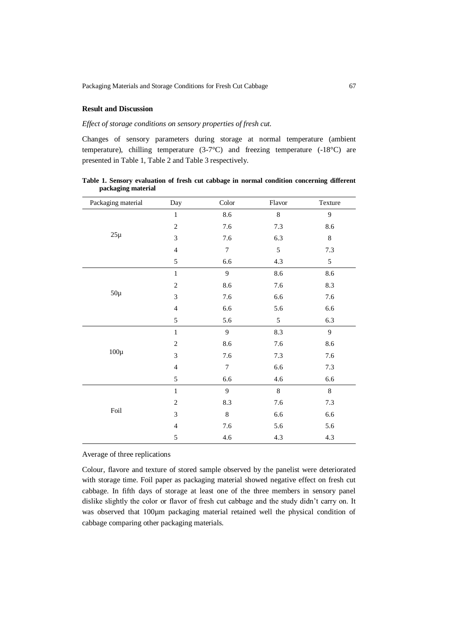### **Result and Discussion**

## *Effect of storage conditions on sensory properties of fresh cut.*

Changes of sensory parameters during storage at normal temperature (ambient temperature), chilling temperature (3-7°C) and freezing temperature (-18°C) are presented in Table 1, Table 2 and Table 3 respectively.

| Packaging material | Day                      | ${\bf Color}$    | Flavor     | Texture |
|--------------------|--------------------------|------------------|------------|---------|
| $25\mu$            | $\,1\,$                  | 8.6              | $\,8\,$    | 9       |
|                    | $\sqrt{2}$               | 7.6              | $7.3\,$    | 8.6     |
|                    | 3                        | 7.6              | 6.3        | $\,8\,$ |
|                    | $\overline{4}$           | $\boldsymbol{7}$ | $\sqrt{5}$ | $7.3$   |
|                    | 5                        | 6.6              | 4.3        | 5       |
| $50\mu$            | $\,1$                    | 9                | 8.6        | 8.6     |
|                    | $\mathfrak{2}$           | 8.6              | 7.6        | 8.3     |
|                    | 3                        | 7.6              | 6.6        | 7.6     |
|                    | $\overline{4}$           | 6.6              | 5.6        | 6.6     |
|                    | 5                        | 5.6              | $\sqrt{5}$ | 6.3     |
| $100\mu$           | $\,1$                    | 9                | 8.3        | 9       |
|                    | $\mathfrak{2}$           | $8.6\,$          | 7.6        | 8.6     |
|                    | 3                        | 7.6              | $7.3$      | 7.6     |
|                    | $\overline{4}$           | $\boldsymbol{7}$ | 6.6        | $7.3$   |
|                    | 5                        | $6.6\,$          | 4.6        | 6.6     |
| Foil               | $\mathbf 1$              | 9                | $\,8\,$    | $8\,$   |
|                    | $\overline{c}$           | $8.3\,$          | 7.6        | $7.3$   |
|                    | 3                        | $\,8\,$          | 6.6        | 6.6     |
|                    | $\overline{\mathcal{L}}$ | 7.6              | 5.6        | 5.6     |
|                    | 5                        | 4.6              | 4.3        | 4.3     |

**Table 1. Sensory evaluation of fresh cut cabbage in normal condition concerning different packaging material**

Average of three replications

Colour, flavore and texture of stored sample observed by the panelist were deteriorated with storage time. Foil paper as packaging material showed negative effect on fresh cut cabbage. In fifth days of storage at least one of the three members in sensory panel dislike slightly the color or flavor of fresh cut cabbage and the study didn't carry on. It was observed that 100µm packaging material retained well the physical condition of cabbage comparing other packaging materials.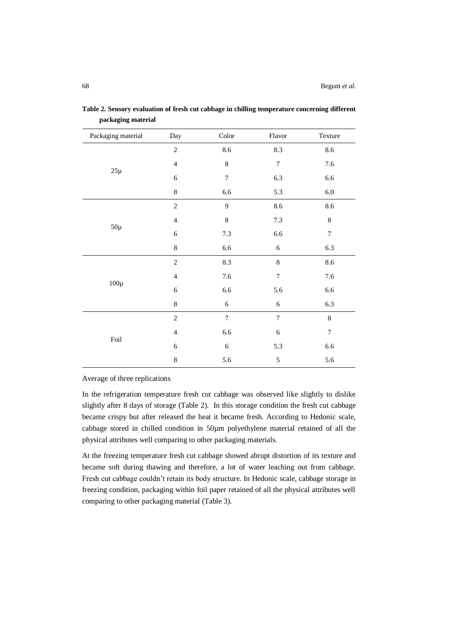| Packaging material | Day            | ${\bf Color}$    | Flavor           | Texture          |
|--------------------|----------------|------------------|------------------|------------------|
| $25\mu$            | $\overline{c}$ | 8.6              | 8.3              | 8.6              |
|                    | $\overline{4}$ | $\,8\,$          | $\tau$           | 7.6              |
|                    | 6              | $\boldsymbol{7}$ | 6.3              | 6.6              |
|                    | $\,8\,$        | $6.6\,$          | 5.3              | $6.0\,$          |
| $50\mu$            | $\overline{2}$ | 9                | 8.6              | 8.6              |
|                    | $\overline{4}$ | $\,$ 8 $\,$      | $7.3$            | $\,8\,$          |
|                    | 6              | $7.3$            | 6.6              | $\boldsymbol{7}$ |
|                    | $\,$ 8 $\,$    | 6.6              | $\sqrt{6}$       | 6.3              |
| $100\mu$           | $\sqrt{2}$     | 8.3              | $\,8\,$          | 8.6              |
|                    | $\overline{4}$ | 7.6              | $\tau$           | 7.6              |
|                    | $\epsilon$     | $6.6\,$          | 5.6              | 6.6              |
|                    | $\,$ 8 $\,$    | $\sqrt{6}$       | $\sqrt{6}$       | 6.3              |
| Foil               | $\overline{c}$ | $\boldsymbol{7}$ | $\boldsymbol{7}$ | $\,8\,$          |
|                    | $\overline{4}$ | 6.6              | $\sqrt{6}$       | $\boldsymbol{7}$ |
|                    | 6              | $\sqrt{6}$       | 5.3              | 6.6              |
|                    | $\,$ 8 $\,$    | 5.6              | $\sqrt{5}$       | 5.6              |

**Table 2. Sensory evaluation of fresh cut cabbage in chilling temperature concerning different packaging material**

Average of three replications

In the refrigeration temperature fresh cut cabbage was observed like slightly to dislike slightly after 8 days of storage (Table 2). In this storage condition the fresh cut cabbage became crispy but after released the heat it became fresh. According to Hedonic scale, cabbage stored in chilled condition in 50µm polyethylene material retained of all the physical attributes well comparing to other packaging materials.

At the freezing temperature fresh cut cabbage showed abrupt distortion of its texture and became soft during thawing and therefore, a lot of water leaching out from cabbage. Fresh cut cabbage couldn't retain its body structure. In Hedonic scale, cabbage storage in freezing condition, packaging within foil paper retained of all the physical attributes well comparing to other packaging material (Table 3).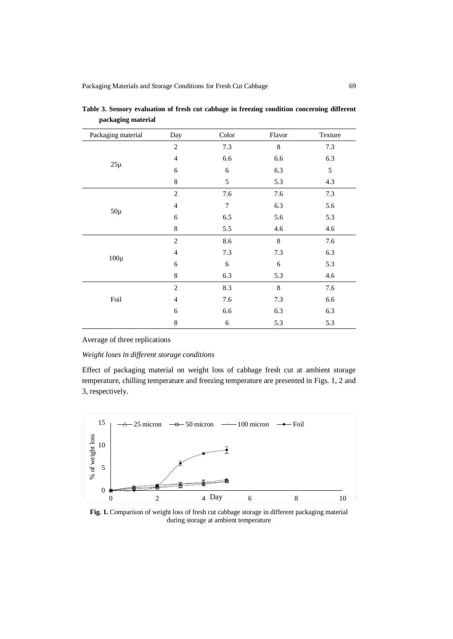| Packaging material | Day            | Color | Flavor      | Texture    |
|--------------------|----------------|-------|-------------|------------|
| $25\mu$            | $\overline{c}$ | 7.3   | $\,$ 8 $\,$ | 7.3        |
|                    | $\overline{4}$ | 6.6   | 6.6         | 6.3        |
|                    | 6              | 6     | 6.3         | $\sqrt{5}$ |
|                    | 8              | 5     | 5.3         | 4.3        |
| $50\mu$            | $\mathfrak{2}$ | 7.6   | 7.6         | 7.3        |
|                    | 4              | 7     | 6.3         | 5.6        |
|                    | 6              | 6.5   | 5.6         | 5.3        |
|                    | $\,$ 8 $\,$    | 5.5   | 4.6         | 4.6        |
| $100\mu$           | $\overline{2}$ | 8.6   | 8           | 7.6        |
|                    | 4              | 7.3   | 7.3         | 6.3        |
|                    | 6              | 6     | 6           | 5.3        |
|                    | $\,8\,$        | 6.3   | 5.3         | 4.6        |
| Foil               | $\overline{c}$ | 8.3   | $\,8\,$     | 7.6        |
|                    | 4              | 7.6   | 7.3         | 6.6        |
|                    | 6              | 6.6   | 6.3         | 6.3        |
|                    | 8              | 6     | 5.3         | 5.3        |

**Table 3. Sensory evaluation of fresh cut cabbage in freezing condition concerning different packaging material**

## Average of three replications

## *Weight loses in different storage conditions*

Effect of packaging material on weight loss of cabbage fresh cut at ambient storage temperature, chilling temperature and freezing temperature are presented in Figs. 1, 2 and 3, respectively.



**Fig. 1.** Comparison of weight loss of fresh cut cabbage storage in different packaging material during storage at ambient temperature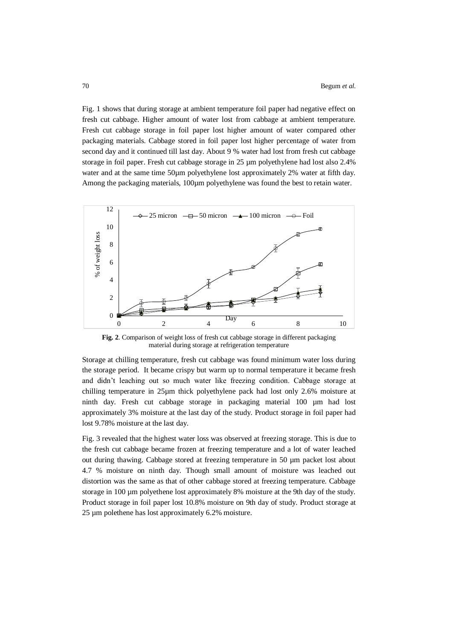Fig. 1 shows that during storage at ambient temperature foil paper had negative effect on fresh cut cabbage. Higher amount of water lost from cabbage at ambient temperature. Fresh cut cabbage storage in foil paper lost higher amount of water compared other packaging materials. Cabbage stored in foil paper lost higher percentage of water from second day and it continued till last day. About 9 % water had lost from fresh cut cabbage storage in foil paper. Fresh cut cabbage storage in 25 µm polyethylene had lost also 2.4% water and at the same time 50µm polyethylene lost approximately 2% water at fifth day. Among the packaging materials, 100µm polyethylene was found the best to retain water.



**Fig. 2**. Comparison of weight loss of fresh cut cabbage storage in different packaging material during storage at refrigeration temperature

Storage at chilling temperature, fresh cut cabbage was found minimum water loss during the storage period. It became crispy but warm up to normal temperature it became fresh and didn't leaching out so much water like freezing condition. Cabbage storage at chilling temperature in 25µm thick polyethylene pack had lost only 2.6% moisture at ninth day. Fresh cut cabbage storage in packaging material 100 µm had lost approximately 3% moisture at the last day of the study. Product storage in foil paper had lost 9.78% moisture at the last day.

Fig. 3 revealed that the highest water loss was observed at freezing storage. This is due to the fresh cut cabbage became frozen at freezing temperature and a lot of water leached out during thawing. Cabbage stored at freezing temperature in 50 µm packet lost about 4.7 % moisture on ninth day. Though small amount of moisture was leached out distortion was the same as that of other cabbage stored at freezing temperature. Cabbage storage in 100 µm polyethene lost approximately 8% moisture at the 9th day of the study. Product storage in foil paper lost 10.8% moisture on 9th day of study. Product storage at 25 µm polethene has lost approximately 6.2% moisture.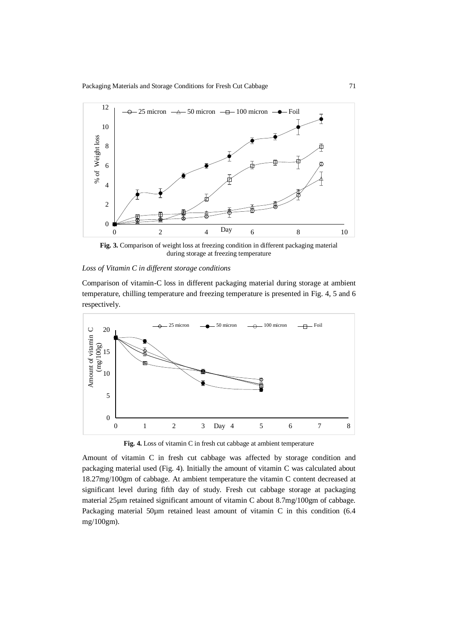Packaging Materials and Storage Conditions for Fresh Cut Cabbage 71



**Fig. 3.** Comparison of weight loss at freezing condition in different packaging material during storage at freezing temperature

### *Loss of Vitamin C in different storage conditions*

Comparison of vitamin-C loss in different packaging material during storage at ambient temperature, chilling temperature and freezing temperature is presented in Fig. 4, 5 and 6 respectively.



**Fig. 4.** Loss of vitamin C in fresh cut cabbage at ambient temperature

Amount of vitamin C in fresh cut cabbage was affected by storage condition and packaging material used (Fig. 4). Initially the amount of vitamin C was calculated about 18.27mg/100gm of cabbage. At ambient temperature the vitamin C content decreased at significant level during fifth day of study. Fresh cut cabbage storage at packaging material 25µm retained significant amount of vitamin C about 8.7mg/100gm of cabbage. Packaging material 50um retained least amount of vitamin C in this condition (6.4 mg/100gm).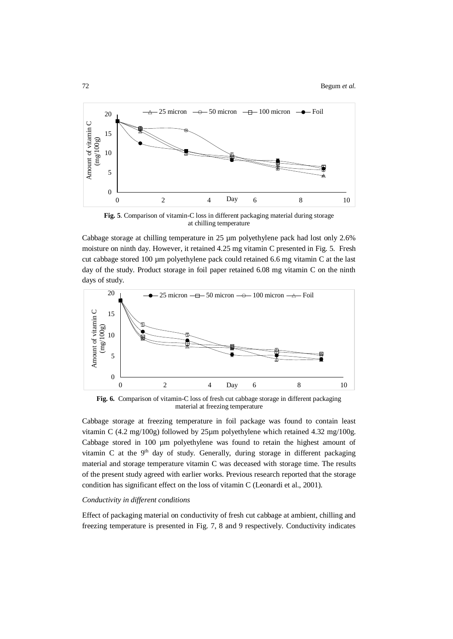72 Begum *et al.*



**Fig. 5**. Comparison of vitamin-C loss in different packaging material during storage at chilling temperature

Cabbage storage at chilling temperature in 25 µm polyethylene pack had lost only 2.6% moisture on ninth day. However, it retained 4.25 mg vitamin C presented in Fig. 5. Fresh cut cabbage stored  $100 \mu m$  polyethylene pack could retained 6.6 mg vitamin C at the last day of the study. Product storage in foil paper retained 6.08 mg vitamin C on the ninth days of study.



**Fig. 6.** Comparison of vitamin-C loss of fresh cut cabbage storage in different packaging material at freezing temperature

Cabbage storage at freezing temperature in foil package was found to contain least vitamin C (4.2 mg/100g) followed by 25µm polyethylene which retained 4.32 mg/100g. Cabbage stored in 100 µm polyethylene was found to retain the highest amount of vitamin C at the 9<sup>th</sup> day of study. Generally, during storage in different packaging material and storage temperature vitamin C was deceased with storage time. The results of the present study agreed with earlier works. Previous research reported that the storage condition has significant effect on the loss of vitamin C (Leonardi et al., 2001).

### *Conductivity in different conditions*

Effect of packaging material on conductivity of fresh cut cabbage at ambient, chilling and freezing temperature is presented in Fig. 7, 8 and 9 respectively. Conductivity indicates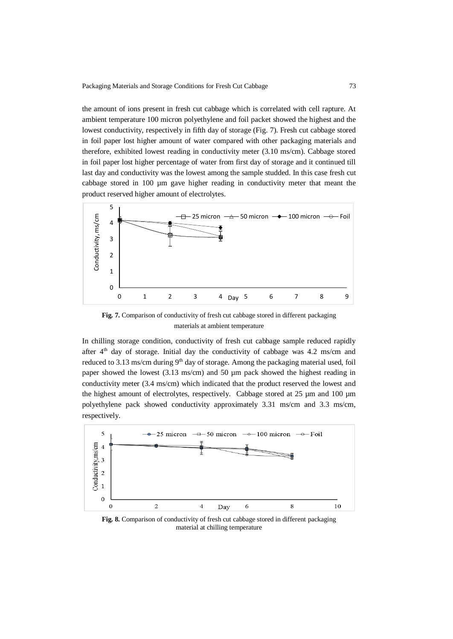the amount of ions present in fresh cut cabbage which is correlated with cell rapture. At ambient temperature 100 micron polyethylene and foil packet showed the highest and the lowest conductivity, respectively in fifth day of storage (Fig. 7). Fresh cut cabbage stored in foil paper lost higher amount of water compared with other packaging materials and therefore, exhibited lowest reading in conductivity meter (3.10 ms/cm). Cabbage stored in foil paper lost higher percentage of water from first day of storage and it continued till last day and conductivity was the lowest among the sample studded. In this case fresh cut cabbage stored in 100 µm gave higher reading in conductivity meter that meant the product reserved higher amount of electrolytes.



**Fig. 7.** Comparison of conductivity of fresh cut cabbage stored in different packaging materials at ambient temperature

In chilling storage condition, conductivity of fresh cut cabbage sample reduced rapidly after  $4<sup>th</sup>$  day of storage. Initial day the conductivity of cabbage was 4.2 ms/cm and reduced to 3.13 ms/cm during  $9<sup>th</sup>$  day of storage. Among the packaging material used, foil paper showed the lowest  $(3.13 \text{ ms/cm})$  and 50 µm pack showed the highest reading in conductivity meter (3.4 ms/cm) which indicated that the product reserved the lowest and the highest amount of electrolytes, respectively. Cabbage stored at 25 µm and 100 µm polyethylene pack showed conductivity approximately 3.31 ms/cm and 3.3 ms/cm, respectively.



**Fig. 8.** Comparison of conductivity of fresh cut cabbage stored in different packaging material at chilling temperature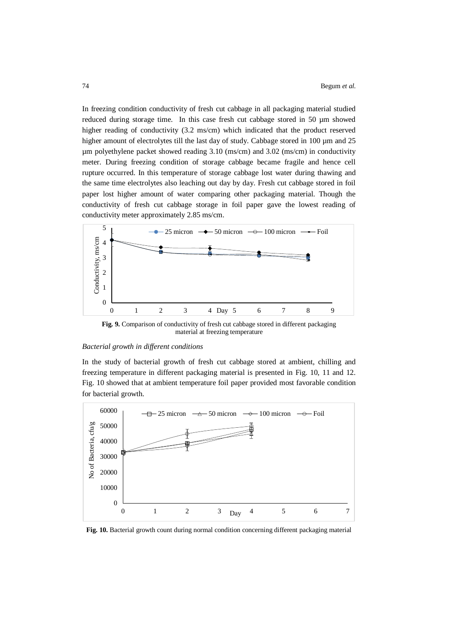In freezing condition conductivity of fresh cut cabbage in all packaging material studied reduced during storage time. In this case fresh cut cabbage stored in 50 µm showed higher reading of conductivity (3.2 ms/cm) which indicated that the product reserved higher amount of electrolytes till the last day of study. Cabbage stored in 100 µm and 25 µm polyethylene packet showed reading 3.10 (ms/cm) and 3.02 (ms/cm) in conductivity meter. During freezing condition of storage cabbage became fragile and hence cell rupture occurred. In this temperature of storage cabbage lost water during thawing and the same time electrolytes also leaching out day by day. Fresh cut cabbage stored in foil paper lost higher amount of water comparing other packaging material. Though the conductivity of fresh cut cabbage storage in foil paper gave the lowest reading of conductivity meter approximately 2.85 ms/cm.



**Fig. 9.** Comparison of conductivity of fresh cut cabbage stored in different packaging material at freezing temperature

#### *Bacterial growth in different conditions*

In the study of bacterial growth of fresh cut cabbage stored at ambient, chilling and freezing temperature in different packaging material is presented in Fig. 10, 11 and 12. Fig. 10 showed that at ambient temperature foil paper provided most favorable condition for bacterial growth.



**Fig. 10.** Bacterial growth count during normal condition concerning different packaging material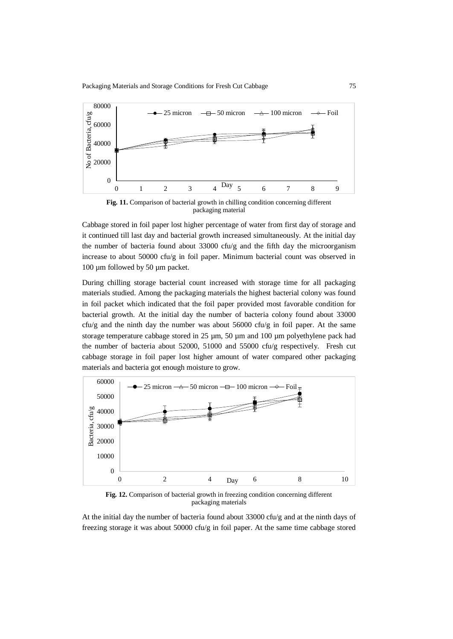

**Fig. 11.** Comparison of bacterial growth in chilling condition concerning different packaging material

Cabbage stored in foil paper lost higher percentage of water from first day of storage and it continued till last day and bacterial growth increased simultaneously. At the initial day the number of bacteria found about 33000 cfu/g and the fifth day the microorganism increase to about 50000 cfu/g in foil paper. Minimum bacterial count was observed in 100 µm followed by 50 µm packet.

During chilling storage bacterial count increased with storage time for all packaging materials studied. Among the packaging materials the highest bacterial colony was found in foil packet which indicated that the foil paper provided most favorable condition for bacterial growth. At the initial day the number of bacteria colony found about 33000  $cfu/g$  and the ninth day the number was about 56000  $cfu/g$  in foil paper. At the same storage temperature cabbage stored in 25 µm, 50 µm and 100 µm polyethylene pack had the number of bacteria about 52000, 51000 and 55000 cfu/g respectively. Fresh cut cabbage storage in foil paper lost higher amount of water compared other packaging materials and bacteria got enough moisture to grow.



**Fig. 12.** Comparison of bacterial growth in freezing condition concerning different packaging materials

At the initial day the number of bacteria found about  $33000 \text{ cfu/g}$  and at the ninth days of freezing storage it was about 50000 cfu/g in foil paper. At the same time cabbage stored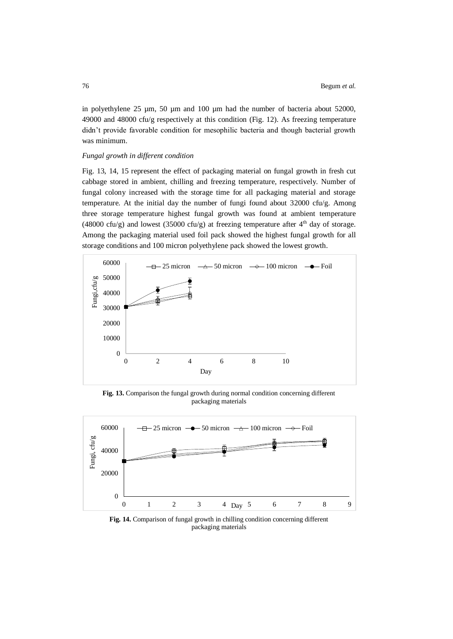in polyethylene 25 µm, 50 µm and 100 µm had the number of bacteria about 52000, 49000 and 48000 cfu/g respectively at this condition (Fig. 12). As freezing temperature didn't provide favorable condition for mesophilic bacteria and though bacterial growth was minimum.

## *Fungal growth in different condition*

Fig. 13, 14, 15 represent the effect of packaging material on fungal growth in fresh cut cabbage stored in ambient, chilling and freezing temperature, respectively. Number of fungal colony increased with the storage time for all packaging material and storage temperature. At the initial day the number of fungi found about 32000 cfu/g. Among three storage temperature highest fungal growth was found at ambient temperature (48000 cfu/g) and lowest (35000 cfu/g) at freezing temperature after  $4<sup>th</sup>$  day of storage. Among the packaging material used foil pack showed the highest fungal growth for all storage conditions and 100 micron polyethylene pack showed the lowest growth.



**Fig. 13.** Comparison the fungal growth during normal condition concerning different packaging materials



**Fig. 14.** Comparison of fungal growth in chilling condition concerning different packaging materials